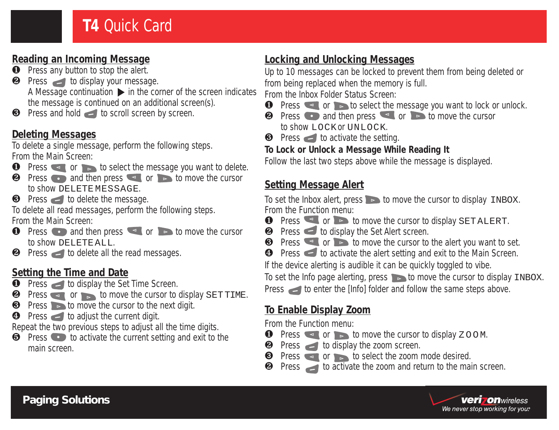### **Reading an Incoming Message**

- **O** Press any button to stop the alert.
- **2** Press to display your message. A Message continuation  $\triangleright$  in the corner of the screen indicates the message is continued on an additional screen(s).
- $\bullet$  Press and hold  $\bullet$  to scroll screen by screen.

# **Deleting Messages**

To delete a single message, perform the following steps. From the Main Screen:

- **O** Press or to select the message you want to delete.
- **2** Press and then press or to move the cursor to show DELETE MESSAGE.
- **<sup>3</sup>** Press to delete the message.

To delete all read messages, perform the following steps. From the Main Screen:

- **O** Press and then press or to move the cursor to show DELETE ALL.
- $\bullet$  Press  $\bullet$  to delete all the read messages.

### **Setting the Time and Date**

- **O** Press to display the Set Time Screen.
- $\bullet$  Press  $\bullet$  or to move the cursor to display SET TIME.
- $\bullet$  Press  $\bullet$  to move the cursor to the next digit.
- $\bullet$  Press  $\bullet$  to adjust the current digit.

Repeat the two previous steps to adjust all the time digits.

 $\Theta$  Press  $\bullet$  to activate the current setting and exit to the main screen.

# **Locking and Unlocking Messages**

Up to 10 messages can be locked to prevent them from being deleted or from being replaced when the memory is full.

From the Inbox Folder Status Screen:

- **O** Press or **to select the message you want to lock or unlock.**
- **2** Press and then press or **b** to move the cursor to show LOCK or UNLOCK
- $\Theta$  Press  $\blacksquare$  to activate the setting.

### **To Lock or Unlock a Message While Reading It**

Follow the last two steps above while the message is displayed.

# **Setting Message Alert**

To set the Inbox alert, press  $\bullet$  to move the cursor to display  $\text{INBOX}$ . From the Function menu:

- **O** Press  $\leq$  or  $\geq$  to move the cursor to display SET ALERT.
- **2** Press to display the Set Alert screen.
- $\bullet$  Press  $\bullet$  or  $\bullet$  to move the cursor to the alert you want to set.

**O** Press  $\blacksquare$  to activate the alert setting and exit to the Main Screen.

If the device alerting is audible it can be quickly toggled to vibe.

To set the Info page alerting, press  $\bullet$  to move the cursor to display INBOX.

Press to enter the [Info] folder and follow the same steps above.

# **To Enable Display Zoom**

From the Function menu:

- **O** Press or **b** to move the cursor to display  $Z$  OOM.
- **2** Press to display the zoom screen.
- **O** Press **or b** to select the zoom mode desired.

 $\bullet$  Press to activate the zoom and return to the main screen.